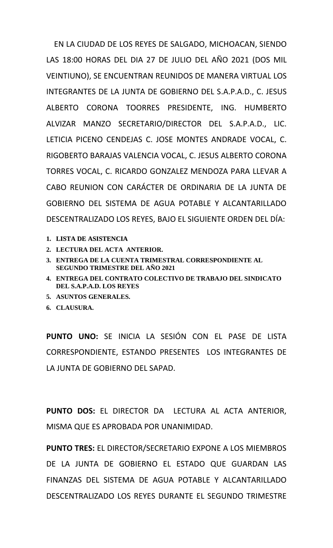EN LA CIUDAD DE LOS REYES DE SALGADO, MICHOACAN, SIENDO LAS 18:00 HORAS DEL DIA 27 DE JULIO DEL AÑO 2021 (DOS MIL VEINTIUNO), SE ENCUENTRAN REUNIDOS DE MANERA VIRTUAL LOS INTEGRANTES DE LA JUNTA DE GOBIERNO DEL S.A.P.A.D., C. JESUS ALBERTO CORONA TOORRES PRESIDENTE, ING. HUMBERTO ALVIZAR MANZO SECRETARIO/DIRECTOR DEL S.A.P.A.D., LIC. LETICIA PICENO CENDEJAS C. JOSE MONTES ANDRADE VOCAL, C. RIGOBERTO BARAJAS VALENCIA VOCAL, C. JESUS ALBERTO CORONA TORRES VOCAL, C. RICARDO GONZALEZ MENDOZA PARA LLEVAR A CABO REUNION CON CARÁCTER DE ORDINARIA DE LA JUNTA DE GOBIERNO DEL SISTEMA DE AGUA POTABLE Y ALCANTARILLADO DESCENTRALIZADO LOS REYES, BAJO EL SIGUIENTE ORDEN DEL DÍA:

- **1. LISTA DE ASISTENCIA**
- **2. LECTURA DEL ACTA ANTERIOR.**
- **3. ENTREGA DE LA CUENTA TRIMESTRAL CORRESPONDIENTE AL SEGUNDO TRIMESTRE DEL AÑO 2021**
- **4. ENTREGA DEL CONTRATO COLECTIVO DE TRABAJO DEL SINDICATO DEL S.A.P.A.D. LOS REYES**
- **5. ASUNTOS GENERALES.**
- **6. CLAUSURA.**

**PUNTO UNO:** SE INICIA LA SESIÓN CON EL PASE DE LISTA CORRESPONDIENTE, ESTANDO PRESENTES LOS INTEGRANTES DE LA JUNTA DE GOBIERNO DEL SAPAD.

**PUNTO DOS:** EL DIRECTOR DA LECTURA AL ACTA ANTERIOR, MISMA QUE ES APROBADA POR UNANIMIDAD.

**PUNTO TRES:** EL DIRECTOR/SECRETARIO EXPONE A LOS MIEMBROS DE LA JUNTA DE GOBIERNO EL ESTADO QUE GUARDAN LAS FINANZAS DEL SISTEMA DE AGUA POTABLE Y ALCANTARILLADO DESCENTRALIZADO LOS REYES DURANTE EL SEGUNDO TRIMESTRE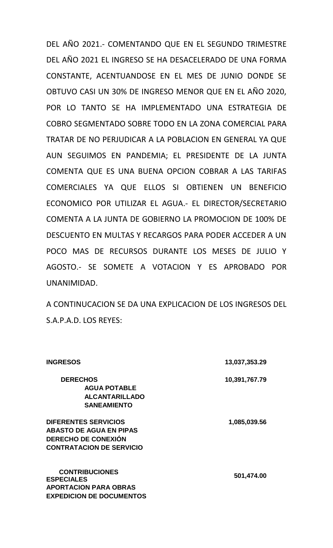DEL AÑO 2021.- COMENTANDO QUE EN EL SEGUNDO TRIMESTRE DEL AÑO 2021 EL INGRESO SE HA DESACELERADO DE UNA FORMA CONSTANTE, ACENTUANDOSE EN EL MES DE JUNIO DONDE SE OBTUVO CASI UN 30% DE INGRESO MENOR QUE EN EL AÑO 2020, POR LO TANTO SE HA IMPLEMENTADO UNA ESTRATEGIA DE COBRO SEGMENTADO SOBRE TODO EN LA ZONA COMERCIAL PARA TRATAR DE NO PERJUDICAR A LA POBLACION EN GENERAL YA QUE AUN SEGUIMOS EN PANDEMIA; EL PRESIDENTE DE LA JUNTA COMENTA QUE ES UNA BUENA OPCION COBRAR A LAS TARIFAS COMERCIALES YA QUE ELLOS SI OBTIENEN UN BENEFICIO ECONOMICO POR UTILIZAR EL AGUA.- EL DIRECTOR/SECRETARIO COMENTA A LA JUNTA DE GOBIERNO LA PROMOCION DE 100% DE DESCUENTO EN MULTAS Y RECARGOS PARA PODER ACCEDER A UN POCO MAS DE RECURSOS DURANTE LOS MESES DE JULIO Y AGOSTO.- SE SOMETE A VOTACION Y ES APROBADO POR UNANIMIDAD.

A CONTINUCACION SE DA UNA EXPLICACION DE LOS INGRESOS DEL S.A.P.A.D. LOS REYES:

| <b>INGRESOS</b>                                                                                                                | 13,037,353.29 |
|--------------------------------------------------------------------------------------------------------------------------------|---------------|
| <b>DERECHOS</b><br><b>AGUA POTABLE</b><br><b>ALCANTARILLADO</b><br><b>SANEAMIENTO</b>                                          | 10,391,767.79 |
| <b>DIFERENTES SERVICIOS</b><br><b>ABASTO DE AGUA EN PIPAS</b><br><b>DERECHO DE CONEXIÓN</b><br><b>CONTRATACION DE SERVICIO</b> | 1,085,039.56  |
| <b>CONTRIBUCIONES</b><br><b>ESPECIALES</b><br><b>APORTACION PARA OBRAS</b><br><b>EXPEDICION DE DOCUMENTOS</b>                  | 501,474.00    |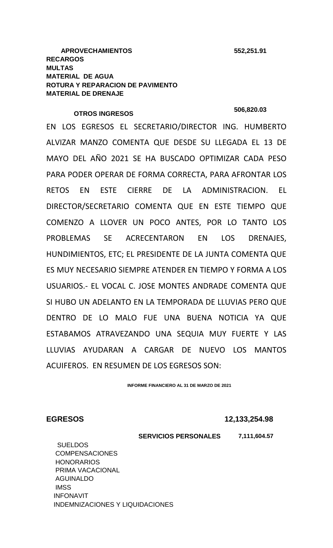# **OTROS INGRESOS 506,820.03**

EN LOS EGRESOS EL SECRETARIO/DIRECTOR ING. HUMBERTO ALVIZAR MANZO COMENTA QUE DESDE SU LLEGADA EL 13 DE MAYO DEL AÑO 2021 SE HA BUSCADO OPTIMIZAR CADA PESO PARA PODER OPERAR DE FORMA CORRECTA, PARA AFRONTAR LOS RETOS EN ESTE CIERRE DE LA ADMINISTRACION. EL DIRECTOR/SECRETARIO COMENTA QUE EN ESTE TIEMPO QUE COMENZO A LLOVER UN POCO ANTES, POR LO TANTO LOS PROBLEMAS SE ACRECENTARON EN LOS DRENAJES, HUNDIMIENTOS, ETC; EL PRESIDENTE DE LA JUNTA COMENTA QUE ES MUY NECESARIO SIEMPRE ATENDER EN TIEMPO Y FORMA A LOS USUARIOS.- EL VOCAL C. JOSE MONTES ANDRADE COMENTA QUE SI HUBO UN ADELANTO EN LA TEMPORADA DE LLUVIAS PERO QUE DENTRO DE LO MALO FUE UNA BUENA NOTICIA YA QUE ESTABAMOS ATRAVEZANDO UNA SEQUIA MUY FUERTE Y LAS LLUVIAS AYUDARAN A CARGAR DE NUEVO LOS MANTOS ACUIFEROS. EN RESUMEN DE LOS EGRESOS SON:

**INFORME FINANCIERO AL 31 DE MARZO DE 2021**

**EGRESOS 12,133,254.98**

 **SERVICIOS PERSONALES 7,111,604.57** SUELDOS COMPENSACIONES **HONORARIOS**  PRIMA VACACIONAL AGUINALDO **IMSS**  INFONAVIT INDEMNIZACIONES Y LIQUIDACIONES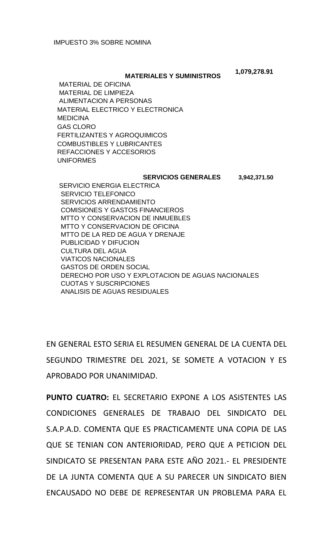### **MATERIALES Y SUMINISTROS**

 **1,079,278.91**

 MATERIAL DE OFICINA MATERIAL DE LIMPIEZA ALIMENTACION A PERSONAS MATERIAL ELECTRICO Y ELECTRONICA **MEDICINA**  GAS CLORO FERTILIZANTES Y AGROQUIMICOS COMBUSTIBLES Y LUBRICANTES REFACCIONES Y ACCESORIOS UNIFORMES

#### **SERVICIOS GENERALES 3,942,371.50**

 SERVICIO ENERGIA ELECTRICA SERVICIO TELEFONICO SERVICIOS ARRENDAMIENTO COMISIONES Y GASTOS FINANCIEROS MTTO Y CONSERVACION DE INMUEBLES MTTO Y CONSERVACION DE OFICINA MTTO DE LA RED DE AGUA Y DRENAJE PUBLICIDAD Y DIFUCION CULTURA DEL AGUA VIATICOS NACIONALES GASTOS DE ORDEN SOCIAL DERECHO POR USO Y EXPLOTACION DE AGUAS NACIONALES CUOTAS Y SUSCRIPCIONES ANALISIS DE AGUAS RESIDUALES

EN GENERAL ESTO SERIA EL RESUMEN GENERAL DE LA CUENTA DEL SEGUNDO TRIMESTRE DEL 2021, SE SOMETE A VOTACION Y ES APROBADO POR UNANIMIDAD.

**PUNTO CUATRO:** EL SECRETARIO EXPONE A LOS ASISTENTES LAS CONDICIONES GENERALES DE TRABAJO DEL SINDICATO DEL S.A.P.A.D. COMENTA QUE ES PRACTICAMENTE UNA COPIA DE LAS QUE SE TENIAN CON ANTERIORIDAD, PERO QUE A PETICION DEL SINDICATO SE PRESENTAN PARA ESTE AÑO 2021.- EL PRESIDENTE DE LA JUNTA COMENTA QUE A SU PARECER UN SINDICATO BIEN ENCAUSADO NO DEBE DE REPRESENTAR UN PROBLEMA PARA EL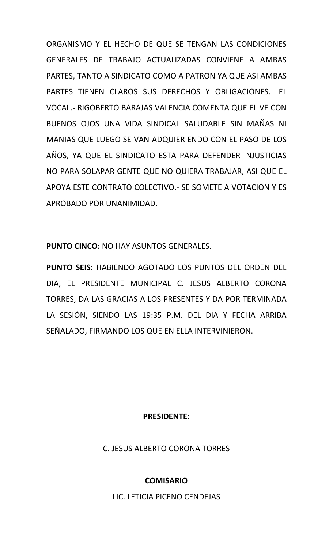ORGANISMO Y EL HECHO DE QUE SE TENGAN LAS CONDICIONES GENERALES DE TRABAJO ACTUALIZADAS CONVIENE A AMBAS PARTES, TANTO A SINDICATO COMO A PATRON YA QUE ASI AMBAS PARTES TIENEN CLAROS SUS DERECHOS Y OBLIGACIONES.- EL VOCAL.- RIGOBERTO BARAJAS VALENCIA COMENTA QUE EL VE CON BUENOS OJOS UNA VIDA SINDICAL SALUDABLE SIN MAÑAS NI MANIAS QUE LUEGO SE VAN ADQUIERIENDO CON EL PASO DE LOS AÑOS, YA QUE EL SINDICATO ESTA PARA DEFENDER INJUSTICIAS NO PARA SOLAPAR GENTE QUE NO QUIERA TRABAJAR, ASI QUE EL APOYA ESTE CONTRATO COLECTIVO.- SE SOMETE A VOTACION Y ES APROBADO POR UNANIMIDAD.

**PUNTO CINCO:** NO HAY ASUNTOS GENERALES.

**PUNTO SEIS:** HABIENDO AGOTADO LOS PUNTOS DEL ORDEN DEL DIA, EL PRESIDENTE MUNICIPAL C. JESUS ALBERTO CORONA TORRES, DA LAS GRACIAS A LOS PRESENTES Y DA POR TERMINADA LA SESIÓN, SIENDO LAS 19:35 P.M. DEL DIA Y FECHA ARRIBA SEÑALADO, FIRMANDO LOS QUE EN ELLA INTERVINIERON.

### **PRESIDENTE:**

C. JESUS ALBERTO CORONA TORRES

## **COMISARIO**

LIC. LETICIA PICENO CENDEJAS